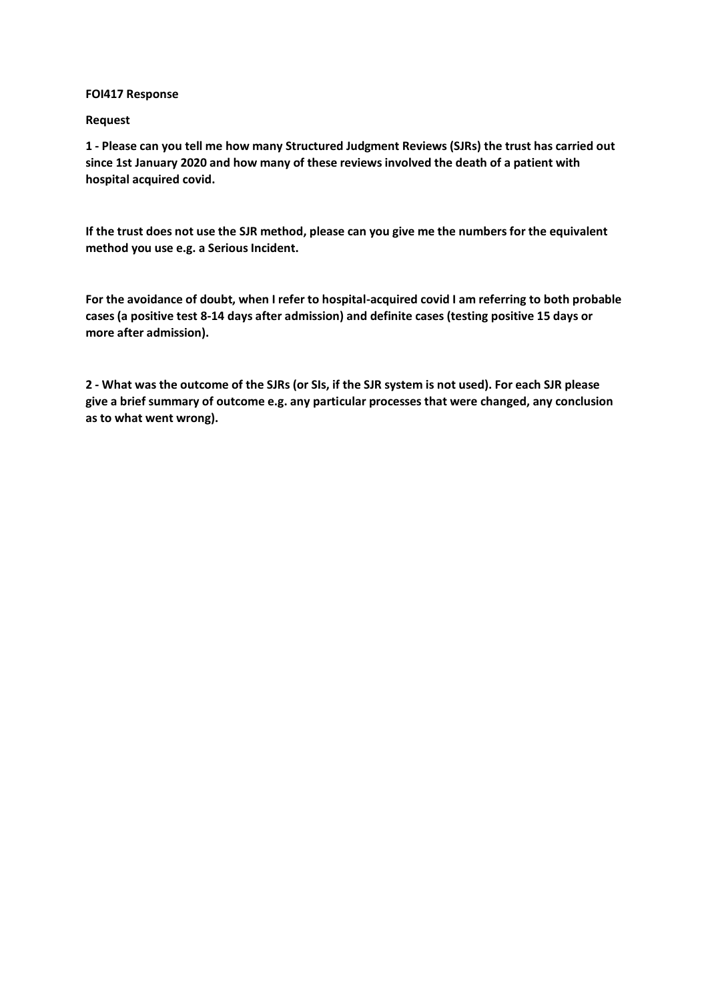## **FOI417 Response**

## **Request**

**1 - Please can you tell me how many Structured Judgment Reviews (SJRs) the trust has carried out since 1st January 2020 and how many of these reviews involved the death of a patient with hospital acquired covid.**

**If the trust does not use the SJR method, please can you give me the numbers for the equivalent method you use e.g. a Serious Incident.**

**For the avoidance of doubt, when I refer to hospital-acquired covid I am referring to both probable cases (a positive test 8-14 days after admission) and definite cases (testing positive 15 days or more after admission).**

**2 - What was the outcome of the SJRs (or SIs, if the SJR system is not used). For each SJR please give a brief summary of outcome e.g. any particular processes that were changed, any conclusion as to what went wrong).**